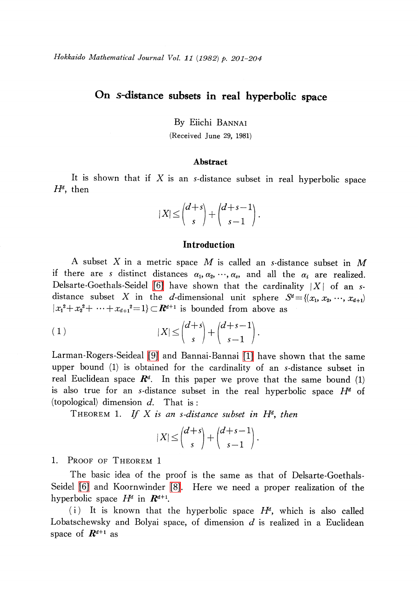# On s-distance subsets in real hyperbolic space

By Eiichi BANNAI

(Received June 29, 1981)

### Abstract

It is shown that if  $X$  is an s-distance subset in real hyperbolic space  $H^{d}$ , then

$$
|X| \leq {d+s \choose s} + {d+s-1 \choose s-1}.
$$

## Introduction

A subset X in a metric space M is called an s-distance subset in M if there are s distinct distances  $\alpha_{1} , \alpha_{2} , \, \cdots , \, \alpha_{s} , \,$  and all the  $\alpha_{i}$  are realized. Delsarte-Goethals-Seidel [\[6\]](#page-3-0) have shown that the cardinality  $|X|$  of an sdistance subset X in the d-dimensional unit sphere  $S^{d}=\{(x_{1}, x_{2},\dots, x_{d+1})\}$  $|x_{1}^{2}+x_{2}^{2}+\cdots+x_{d+1}^{2}=1\rangle \subset R^{d+1}$  is bounded from above as

$$
(1) \t|X| \leq {d+s \choose s} + {d+s-1 \choose s-1}.
$$

Larman-Rogers-Seideal [\[9\]](#page-3-1) and Bannai-Bannai [\[1\]](#page-2-0) have shown that the same upper bound (1) is obtained for the cardinality of an s-distance subset in real Euclidean space  $\boldsymbol{R}^{d}$ . In this paper we prove that the same bound (1) is also true for an s-distance subset in the real hyperbolic space  $H^{d}$  of (topological) dimension  $d$ . That is:

<span id="page-0-0"></span>THEOREM 1. If X is an s-distance subset in  $H^{d}$ , then

$$
|X| \leq {d+s \choose s} + {d+s-1 \choose s-1}.
$$

1. PROOF OF THEOREM 1

The basic idea of the proof is the same as that of Delsarte-Goethals-Seidel [\[6\]](#page-3-0) and Koornwinder [\[8\].](#page-3-2) Here we need a proper realization of the hyperbolic space  $H^{d}$  in  $\mathbf{R}^{d+1}$ .

(i) It is known that the hyperbolic space  $H^{d}$ , which is also called Lobatschewsky and Bolyai space, of dimension  $d$  is realized in a Euclidean space of  $\mathbb{R}^{d+1}$  as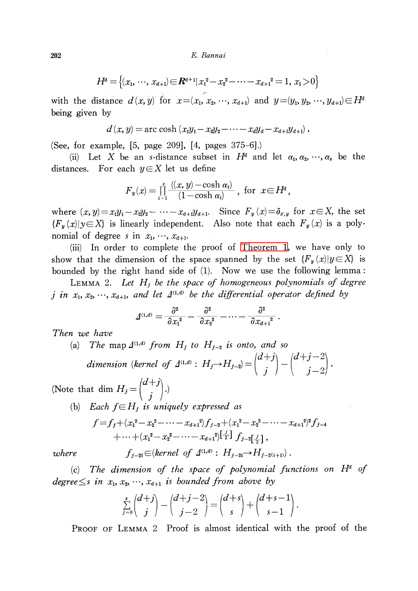202 E. Bannai

$$
H^d = \{(x_1, \dots, x_{d+1}) \in \mathbb{R}^{d+1} | x_1^2 - x_2^2 - \dots - x_{d+1}^2 = 1, x_1 > 0\}
$$

with the distance  $d(x, y)$  for  $x=(x_{1}, x_{2}, \cdots, x_{d+1})$  and  $y=(y_{1}, y_{2}, \cdots, y_{d+1})\in H^{d}$ being given by

$$
d(x, y) = \arccosh (x_1y_1 - x_2y_2 - \cdots - x_dy_d - x_{d+1}y_{d+1}).
$$

(See, for example, [5, page 209], [4, pages 375-6].)

(ii) Let X be an s-distance subset in  $H^{d}$  and let  $\alpha_{1} , \alpha_{2} , \cdots , \alpha_{s}$  be the distances. For each  $y\in X$  let us define

$$
{F}_y(x)=\prod_{i=1}^s\frac{(\!(x,y)\!-\!\cosh\alpha_i\!)}{(1\!-\!\cosh\alpha_i)}\,,\;\textrm{for}\;\;x\!\in\!H^d\,,
$$

where  $(x, y)=x_{1}y_{1}-x_{2}y_{2}-\cdots-x_{d+1}y_{d+1}$ . Since  $F_{y}(x)=\delta_{x,y}$  for  $x\in X$ , the set  $\{F_{y}(x)|y\in X\}$  is linearly independent. Also note that each  $F_{y}(x)$  is a polynomial of degree s in  $x_1, \dots, x_{d+1}$ .

(iii) In order to complete the proof of [Theorem](#page-0-0) 1, we have only to show that the dimension of the space spanned by the set  $\{F_{y}(x)|y\in X\}$  is bounded by the right hand side of (1). Now we use the following lemma:

LEMMA 2. Let  $H_{j}$  be the space of homogeneous polynomials of degree j in  $x_1, x_2, \dots, x_{d+1}$ , and let  $\Delta^{(1,d)}$  be the differential operator defined by

$$
\varDelta^{\scriptscriptstyle(1,d)} = \frac{\partial^2}{\partial{x_1}^2} - \frac{\partial^2}{\partial{x_2}^2} - \dots - \frac{\partial^2}{\partial{x_{d+1}}^2} \; .
$$

Then we have

(a) The map  $\Delta^{(1,d)}$  from  $H_{j}$  to  $H_{j-2}$  is onto, and so dimension (kernel of  $\Delta^{(1,d)}$ :  $H_{j}\rightarrow H_{j-2}$ ) =  $\begin{bmatrix} 1 \ 1 \end{bmatrix} - \begin{bmatrix} 1 \ 1 \end{bmatrix}$ 

(Note that dim  $H_{j}=\begin{pmatrix}d+j\\i\end{pmatrix}$ .)

(b) Each  $f\in H_{j}$  is uniquely expressed as

$$
f = f_j + (x_1^2 - x_2^2 - \dots - x_{d+1}^2) f_{j-2} + (x_1^2 - x_2^2 - \dots - x_{d+1}^2) f_{j-4} + \dots + (x_1^2 - x_2^2 - \dots - x_{d+1}^2) \left[\frac{j}{2}\right] f_{j-2} \left[\frac{j}{2}\right],
$$

where  $f_{j-2i} \in (kernel \text{ of } \Delta^{(1,d)} : H_{j-2i} \rightarrow H_{j-2(i+1)} )$ .

(c) The dimension of the space of polynomial functions on  $H^{d}$  of  $degree \leq s$  in  $x_1, x_2, \cdots, x_{d+1}$  is bounded from above by

$$
\sum_{j=0}^s \binom{d+j}{j} - \binom{d+j-2}{j-2} = \binom{d+s}{s} + \binom{d+s-1}{s-1}
$$

PROOF OF LEMMA 2 Proof is almost identical with the proof of the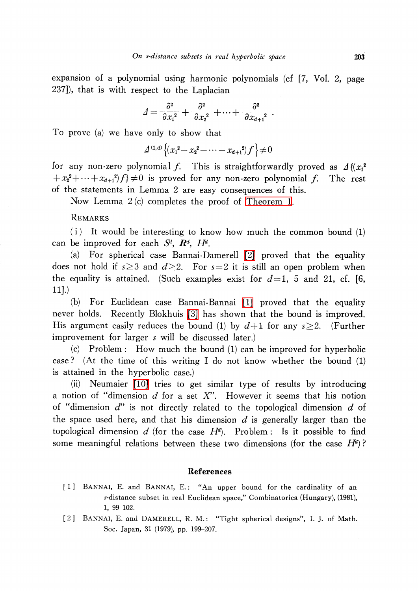expansion of a polynomial using harmonic polynomials (cf [7, Vol. 2, page 237]), that is with respect to the Laplacian

$$
\varDelta=\frac{\partial^2}{\partial{x_1}^2}+\frac{\partial^2}{\partial{x_2}^2}+\cdots+\frac{\partial^2}{\partial{x_{d+1}}^2}\;.
$$

To prove (a) we have only to show that

$$
\Delta^{(1,d)}\left\{(x_1^2 - x_2^2 - \cdots - x_{d+1}^2)f\right\} \neq 0
$$

for any non-zero polynomial f. This is straightforwardly proved as  $\Delta\{(x_{1}^{2} + x_{1}^{2} + \cdots + x_{n})^{2}\}$  f)  $\neq 0$  is proved for any non-zero polynomial f. The rest  $+x_{2}^{2}+\cdots+x_{d+1}^{2}$  f  $\neq 0$  is proved for any non-zero polynomial f. . The rest of the statements in Lemma 2 are easy consequences of this.

Now Lemma 2 (c) completes the proof of [Theorem](#page-0-0) 1.

## REMARKS

(i) It would be interesting to know how much the common bound (1) can be improved for each  $S^{d}$ ,  $\boldsymbol{R}^{d}$ ,  $H^{d}$ .

(a) For spherical case Bannai-Damerell [\[2\]](#page-2-1) proved that the equality does not hold if  $s \geq 3$  and  $d \geq 2$ . For  $s=2$  it is still an open problem when the equality is attained. (Such examples exist for  $d=1$ , 5 and 21, cf. [6, 11].)

(b) For Euclidean case Bannai-Bannai [\[1\]](#page-2-0) proved that the equality never holds. Recently Blokhuis [\[3\]](#page-3-3) has shown that the bound is improved. His argument easily reduces the bound (1) by  $d+1$  for any  $s\geq 2$ . (Further improvement for larger s will be discussed later.)

(c) Problem: How much the bound (1) can be improved for hyperbolic case? (At the time of this writing I do not know whether the bound (1) is attained in the hyperbolic case.)

(ii) Neumaier [\[10\]](#page-3-4) tries to get similar type of results by introducing a notion of "dimension  $d$  for a set  $X$ ". However it seems that his notion of "dimension  $d$ " is not directly related to the topological dimension  $d$  of the space used here, and that his dimension  $d$  is generally larger than the topological dimension d (for the case  $H^{d}$ ). Problem: Is it possible to find some meaningful relations between these two dimensions (for the case  $H^{d}$ )?

#### References

- <span id="page-2-0"></span>[1] BANNAI, E. and BANNAI, E.: "An upper bound for the cardinality of an s-distance subset in real Euclidean space," Combinatorica (Hungary), (1981), 1, 99-102.
- <span id="page-2-1"></span>[2] BANNAI, E. and DAMERELL, R. M.: "Tight spherical designs", I. J. of Math. Soc. Japan, 31 (1979), pp. 199-207.